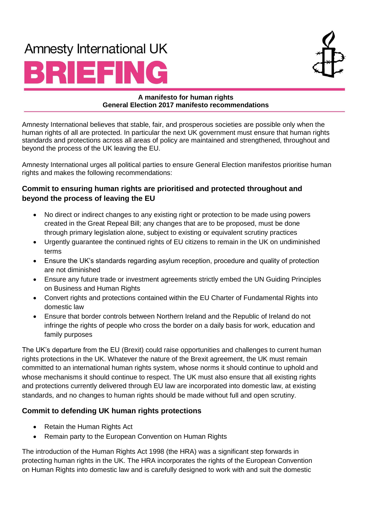# **Amnesty International UK**





#### **A manifesto for human rights A manifesto for human rights UK General Election 2017 manifesto recommendations General Election 2017 manifesto recommendations**

Amnesty International believes that stable, fair, and prosperous societies are possible only when the human rights of all are protected. In particular the next UK government must ensure that human rights standards and protections across all areas of policy are maintained and strengthened, throughout and beyond the process of the UK leaving the EU.

Amnesty International urges all political parties to ensure General Election manifestos prioritise human rights and makes the following recommendations:

#### **Commit to ensuring human rights are prioritised and protected throughout and beyond the process of leaving the EU**

- No direct or indirect changes to any existing right or protection to be made using powers created in the Great Repeal Bill; any changes that are to be proposed, must be done through primary legislation alone, subject to existing or equivalent scrutiny practices
- Urgently guarantee the continued rights of EU citizens to remain in the UK on undiminished terms
- Ensure the UK's standards regarding asylum reception, procedure and quality of protection are not diminished
- Ensure any future trade or investment agreements strictly embed the UN Guiding Principles on Business and Human Rights
- Convert rights and protections contained within the EU Charter of Fundamental Rights into domestic law
- Ensure that border controls between Northern Ireland and the Republic of Ireland do not infringe the rights of people who cross the border on a daily basis for work, education and family purposes

The UK's departure from the EU (Brexit) could raise opportunities and challenges to current human rights protections in the UK. Whatever the nature of the Brexit agreement, the UK must remain committed to an international human rights system, whose norms it should continue to uphold and whose mechanisms it should continue to respect. The UK must also ensure that all existing rights and protections currently delivered through EU law are incorporated into domestic law, at existing standards, and no changes to human rights should be made without full and open scrutiny.

## **Commit to defending UK human rights protections**

- Retain the Human Rights Act
- Remain party to the European Convention on Human Rights

The introduction of the Human Rights Act 1998 (the HRA) was a significant step forwards in protecting human rights in the UK. The HRA incorporates the rights of the European Convention on Human Rights into domestic law and is carefully designed to work with and suit the domestic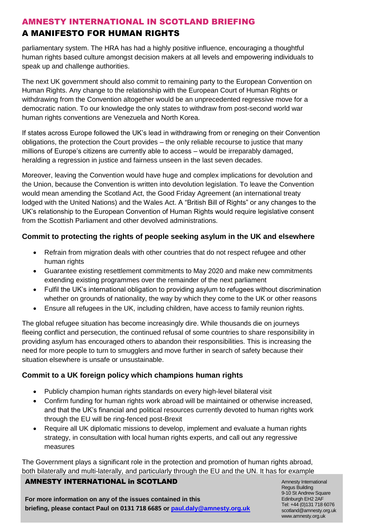## AMNESTY INTERNATIONAL IN SCOTLAND BRIEFING A MANIFESTO FOR HUMAN RIGHTS

parliamentary system. The HRA has had a highly positive influence, encouraging a thoughtful human rights based culture amongst decision makers at all levels and empowering individuals to speak up and challenge authorities.

The next UK government should also commit to remaining party to the European Convention on Human Rights. Any change to the relationship with the European Court of Human Rights or withdrawing from the Convention altogether would be an unprecedented regressive move for a democratic nation. To our knowledge the only states to withdraw from post-second world war human rights conventions are Venezuela and North Korea.

If states across Europe followed the UK's lead in withdrawing from or reneging on their Convention obligations, the protection the Court provides – the only reliable recourse to justice that many millions of Europe's citizens are currently able to access – would be irreparably damaged, heralding a regression in justice and fairness unseen in the last seven decades.

Moreover, leaving the Convention would have huge and complex implications for devolution and the Union, because the Convention is written into devolution legislation. To leave the Convention would mean amending the Scotland Act, the Good Friday Agreement (an international treaty lodged with the United Nations) and the Wales Act. A "British Bill of Rights" or any changes to the UK's relationship to the European Convention of Human Rights would require legislative consent from the Scottish Parliament and other devolved administrations.

#### **Commit to protecting the rights of people seeking asylum in the UK and elsewhere**

- Refrain from migration deals with other countries that do not respect refugee and other human rights
- Guarantee existing resettlement commitments to May 2020 and make new commitments extending existing programmes over the remainder of the next parliament
- Fulfil the UK's international obligation to providing asylum to refugees without discrimination whether on grounds of nationality, the way by which they come to the UK or other reasons
- Ensure all refugees in the UK, including children, have access to family reunion rights.

The global refugee situation has become increasingly dire. While thousands die on journeys fleeing conflict and persecution, the continued refusal of some countries to share responsibility in providing asylum has encouraged others to abandon their responsibilities. This is increasing the need for more people to turn to smugglers and move further in search of safety because their situation elsewhere is unsafe or unsustainable.

#### **Commit to a UK foreign policy which champions human rights**

- Publicly champion human rights standards on every high-level bilateral visit
- Confirm funding for human rights work abroad will be maintained or otherwise increased, and that the UK's financial and political resources currently devoted to human rights work through the EU will be ring-fenced post-Brexit
- Require all UK diplomatic missions to develop, implement and evaluate a human rights strategy, in consultation with local human rights experts, and call out any regressive measures

The Government plays a significant role in the protection and promotion of human rights abroad, both bilaterally and multi-laterally, and particularly through the EU and the UN. It has for example

#### AMNESTY INTERNATIONAL in SCOTLAND

**For more information on any of the issues contained in this briefing, please contact Paul on 0131 718 6685 or [paul.daly@amnesty.org.uk](file:///C:/Users/nmcauliffe/AppData/Local/Microsoft/Windows/Temporary%20Internet%20Files/Content.Outlook/YS4283QT/paul.daly@amnesty.org.uk)**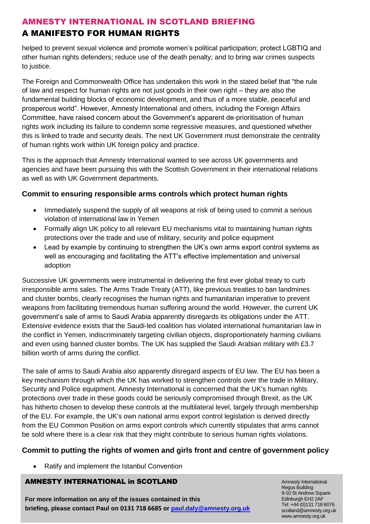# A MANIFESTO FOR HUMAN RIGHTS

helped to prevent sexual violence and promote women's political participation; protect LGBTIQ and other human rights defenders; reduce use of the death penalty; and to bring war crimes suspects to justice.

The Foreign and Commonwealth Office has undertaken this work in the stated belief that "the rule of law and respect for human rights are not just goods in their own right – they are also the fundamental building blocks of economic development, and thus of a more stable, peaceful and prosperous world". However, Amnesty International and others, including the Foreign Affairs Committee, have raised concern about the Government's apparent de-prioritisation of human rights work including its failure to condemn some regressive measures, and questioned whether this is linked to trade and security deals. The next UK Government must demonstrate the centrality of human rights work within UK foreign policy and practice.

This is the approach that Amnesty International wanted to see across UK governments and agencies and have been pursuing this with the Scottish Government in their international relations as well as with UK Government departments.

# **Commit to ensuring responsible arms controls which protect human rights**

- Immediately suspend the supply of all weapons at risk of being used to commit a serious violation of international law in Yemen
- Formally align UK policy to all relevant EU mechanisms vital to maintaining human rights protections over the trade and use of military, security and police equipment
- Lead by example by continuing to strengthen the UK's own arms export control systems as well as encouraging and facilitating the ATT's effective implementation and universal adoption

Successive UK governments were instrumental in delivering the first ever global treaty to curb irresponsible arms sales. The Arms Trade Treaty (ATT), like previous treaties to ban landmines and cluster bombs, clearly recognises the human rights and humanitarian imperative to prevent weapons from facilitating tremendous human suffering around the world. However, the current UK government's sale of arms to Saudi Arabia apparently disregards its obligations under the ATT. Extensive evidence exists that the Saudi-led coalition has violated international humanitarian law in the conflict in Yemen, indiscriminately targeting civilian objects, disproportionately harming civilians and even using banned cluster bombs. The UK has supplied the Saudi Arabian military with £3.7 billion worth of arms during the conflict.

The sale of arms to Saudi Arabia also apparently disregard aspects of EU law. The EU has been a key mechanism through which the UK has worked to strengthen controls over the trade in Military, Security and Police equipment. Amnesty International is concerned that the UK's human rights protections over trade in these goods could be seriously compromised through Brexit, as the UK has hitherto chosen to develop these controls at the multilateral level, largely through membership of the EU. For example, the UK's own national arms export control legislation is derived directly from the EU Common Position on arms export controls which currently stipulates that arms cannot be sold where there is a clear risk that they might contribute to serious human rights violations.

# **Commit to putting the rights of women and girls front and centre of government policy**

• Ratify and implement the Istanbul Convention

# AMNESTY INTERNATIONAL in SCOTLAND

**For more information on any of the issues contained in this briefing, please contact Paul on 0131 718 6685 or [paul.daly@amnesty.org.uk](file:///C:/Users/nmcauliffe/AppData/Local/Microsoft/Windows/Temporary%20Internet%20Files/Content.Outlook/YS4283QT/paul.daly@amnesty.org.uk)**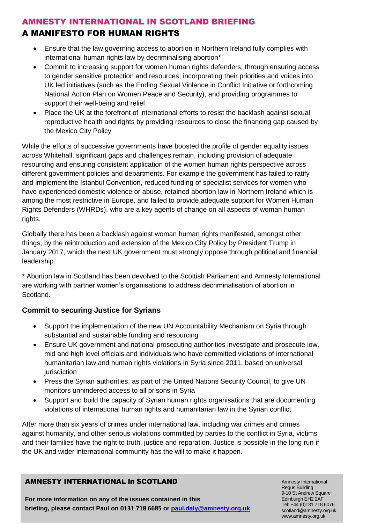## A MANIFESTO FOR HUMAN RIGHTS

- Ensure that the law governing access to abortion in Northern Ireland fully complies with international human rights law by decriminalising abortion\*
- Commit to increasing support for women human rights defenders, through ensuring access to gender sensitive protection and resources, incorporating their priorities and voices into UK led initiatives (such as the Ending Sexual Violence in Conflict Initiative or forthcoming National Action Plan on Women Peace and Security), and providing programmes to support their well-being and relief
- Place the UK at the forefront of international efforts to resist the backlash against sexual reproductive health and rights by providing resources to close the financing gap caused by the Mexico City Policy

While the efforts of successive governments have boosted the profile of gender equality issues across Whitehall, significant gaps and challenges remain, including provision of adequate resourcing and ensuring consistent application of the women human rights perspective across different government policies and departments. For example the government has failed to ratify and implement the Istanbul Convention, reduced funding of specialist services for women who have experienced domestic violence or abuse, retained abortion law in Northern Ireland which is among the most restrictive in Europe, and failed to provide adequate support for Women Human Rights Defenders (WHRDs), who are a key agents of change on all aspects of woman human rights.

Globally there has been a backlash against woman human rights manifested, amongst other things, by the reintroduction and extension of the Mexico City Policy by President Trump in January 2017, which the next UK government must strongly oppose through political and financial leadership.

\* Abortion law in Scotland has been devolved to the Scottish Parliament and Amnesty International are working with partner women's organisations to address decriminalisation of abortion in Scotland.

#### **Commit to securing Justice for Syrians**

- Support the implementation of the new UN Accountability Mechanism on Syria through substantial and sustainable funding and resourcing
- Ensure UK government and national prosecuting authorities investigate and prosecute low, mid and high level officials and individuals who have committed violations of international humanitarian law and human rights violations in Syria since 2011, based on universal iurisdiction
- Press the Syrian authorities, as part of the United Nations Security Council, to give UN monitors unhindered access to all prisons in Syria
- Support and build the capacity of Syrian human rights organisations that are documenting violations of international human rights and humanitarian law in the Syrian conflict

After more than six years of crimes under international law, including war crimes and crimes against humanity, and other serious violations committed by parties to the conflict in Syria, victims and their families have the right to truth, justice and reparation. Justice is possible in the long run if the UK and wider international community has the will to make it happen.

#### AMNESTY INTERNATIONAL in SCOTLAND

**For more information on any of the issues contained in this briefing, please contact Paul on 0131 718 6685 or [paul.daly@amnesty.org.uk](file:///C:/Users/nmcauliffe/AppData/Local/Microsoft/Windows/Temporary%20Internet%20Files/Content.Outlook/YS4283QT/paul.daly@amnesty.org.uk)**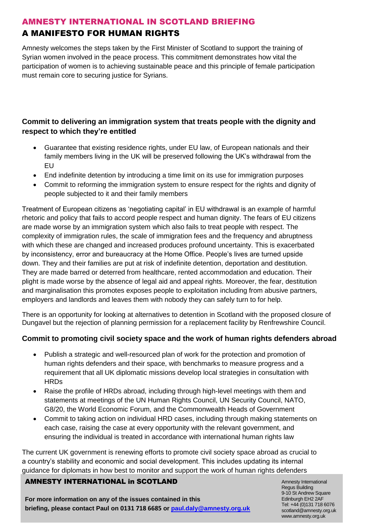# A MANIFESTO FOR HUMAN RIGHTS

Amnesty welcomes the steps taken by the First Minister of Scotland to support the training of Syrian women involved in the peace process. This commitment demonstrates how vital the participation of women is to achieving sustainable peace and this principle of female participation must remain core to securing justice for Syrians.

## **Commit to delivering an immigration system that treats people with the dignity and respect to which they're entitled**

- Guarantee that existing residence rights, under EU law, of European nationals and their family members living in the UK will be preserved following the UK's withdrawal from the EU
- End indefinite detention by introducing a time limit on its use for immigration purposes
- Commit to reforming the immigration system to ensure respect for the rights and dignity of people subjected to it and their family members

Treatment of European citizens as 'negotiating capital' in EU withdrawal is an example of harmful rhetoric and policy that fails to accord people respect and human dignity. The fears of EU citizens are made worse by an immigration system which also fails to treat people with respect. The complexity of immigration rules, the scale of immigration fees and the frequency and abruptness with which these are changed and increased produces profound uncertainty. This is exacerbated by inconsistency, error and bureaucracy at the Home Office. People's lives are turned upside down. They and their families are put at risk of indefinite detention, deportation and destitution. They are made barred or deterred from healthcare, rented accommodation and education. Their plight is made worse by the absence of legal aid and appeal rights. Moreover, the fear, destitution and marginalisation this promotes exposes people to exploitation including from abusive partners, employers and landlords and leaves them with nobody they can safely turn to for help.

There is an opportunity for looking at alternatives to detention in Scotland with the proposed closure of Dungavel but the rejection of planning permission for a replacement facility by Renfrewshire Council.

## **Commit to promoting civil society space and the work of human rights defenders abroad**

- Publish a strategic and well-resourced plan of work for the protection and promotion of human rights defenders and their space, with benchmarks to measure progress and a requirement that all UK diplomatic missions develop local strategies in consultation with HRDs
- Raise the profile of HRDs abroad, including through high-level meetings with them and statements at meetings of the UN Human Rights Council, UN Security Council, NATO, G8/20, the World Economic Forum, and the Commonwealth Heads of Government
- Commit to taking action on individual HRD cases, including through making statements on each case, raising the case at every opportunity with the relevant government, and ensuring the individual is treated in accordance with international human rights law

The current UK government is renewing efforts to promote civil society space abroad as crucial to a country's stability and economic and social development. This includes updating its internal guidance for diplomats in how best to monitor and support the work of human rights defenders

#### AMNESTY INTERNATIONAL in SCOTLAND

**For more information on any of the issues contained in this briefing, please contact Paul on 0131 718 6685 or [paul.daly@amnesty.org.uk](file:///C:/Users/nmcauliffe/AppData/Local/Microsoft/Windows/Temporary%20Internet%20Files/Content.Outlook/YS4283QT/paul.daly@amnesty.org.uk)**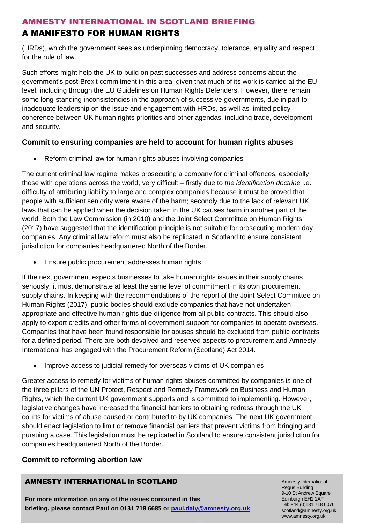# A MANIFESTO FOR HUMAN RIGHTS

(HRDs), which the government sees as underpinning democracy, tolerance, equality and respect for the rule of law.

Such efforts might help the UK to build on past successes and address concerns about the government's post-Brexit commitment in this area, given that much of its work is carried at the EU level, including through the EU Guidelines on Human Rights Defenders. However, there remain some long-standing inconsistencies in the approach of successive governments, due in part to inadequate leadership on the issue and engagement with HRDs, as well as limited policy coherence between UK human rights priorities and other agendas, including trade, development and security.

#### **Commit to ensuring companies are held to account for human rights abuses**

• Reform criminal law for human rights abuses involving companies

The current criminal law regime makes prosecuting a company for criminal offences, especially those with operations across the world, very difficult – firstly due to *the identification doctrine* i.e. difficulty of attributing liability to large and complex companies because it must be proved that people with sufficient seniority were aware of the harm; secondly due to the lack of relevant UK laws that can be applied when the decision taken in the UK causes harm in another part of the world. Both the Law Commission (in 2010) and the Joint Select Committee on Human Rights (2017) have suggested that the identification principle is not suitable for prosecuting modern day companies. Any criminal law reform must also be replicated in Scotland to ensure consistent jurisdiction for companies headquartered North of the Border.

• Ensure public procurement addresses human rights

If the next government expects businesses to take human rights issues in their supply chains seriously, it must demonstrate at least the same level of commitment in its own procurement supply chains. In keeping with the recommendations of the report of the Joint Select Committee on Human Rights (2017), public bodies should exclude companies that have not undertaken appropriate and effective human rights due diligence from all public contracts. This should also apply to export credits and other forms of government support for companies to operate overseas. Companies that have been found responsible for abuses should be excluded from public contracts for a defined period. There are both devolved and reserved aspects to procurement and Amnesty International has engaged with the Procurement Reform (Scotland) Act 2014.

• Improve access to judicial remedy for overseas victims of UK companies

Greater access to remedy for victims of human rights abuses committed by companies is one of the three pillars of the UN Protect, Respect and Remedy Framework on Business and Human Rights, which the current UK government supports and is committed to implementing. However, legislative changes have increased the financial barriers to obtaining redress through the UK courts for victims of abuse caused or contributed to by UK companies. The next UK government should enact legislation to limit or remove financial barriers that prevent victims from bringing and pursuing a case. This legislation must be replicated in Scotland to ensure consistent jurisdiction for companies headquartered North of the Border.

## **Commit to reforming abortion law**

#### AMNESTY INTERNATIONAL in SCOTLAND

**For more information on any of the issues contained in this briefing, please contact Paul on 0131 718 6685 or [paul.daly@amnesty.org.uk](file:///C:/Users/nmcauliffe/AppData/Local/Microsoft/Windows/Temporary%20Internet%20Files/Content.Outlook/YS4283QT/paul.daly@amnesty.org.uk)**